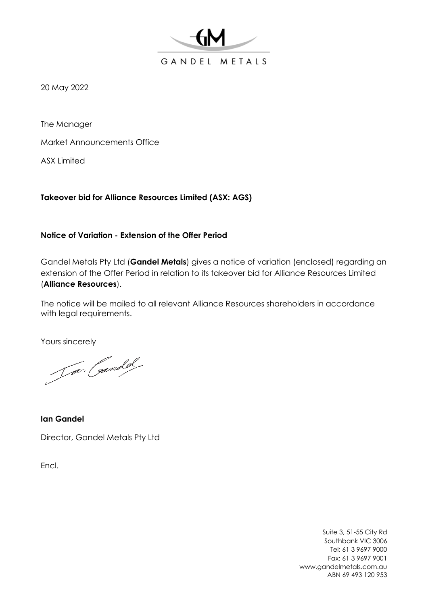

20 May 2022

The Manager

Market Announcements Office

ASX Limited

**Takeover bid for Alliance Resources Limited (ASX: AGS)**

# **Notice of Variation - Extension of the Offer Period**

Gandel Metals Pty Ltd (**Gandel Metals**) gives a notice of variation (enclosed) regarding an extension of the Offer Period in relation to its takeover bid for Alliance Resources Limited (**Alliance Resources**).

The notice will be mailed to all relevant Alliance Resources shareholders in accordance with legal requirements.

Yours sincerely

Jar Coundel

**Ian Gandel** Director, Gandel Metals Pty Ltd

Encl.

Suite 3, 51-55 City Rd Southbank VIC 3006 Tel: 61 3 9697 9000 Fax: 61 3 9697 9001 www.gandelmetals.com.au ABN 69 493 120 953